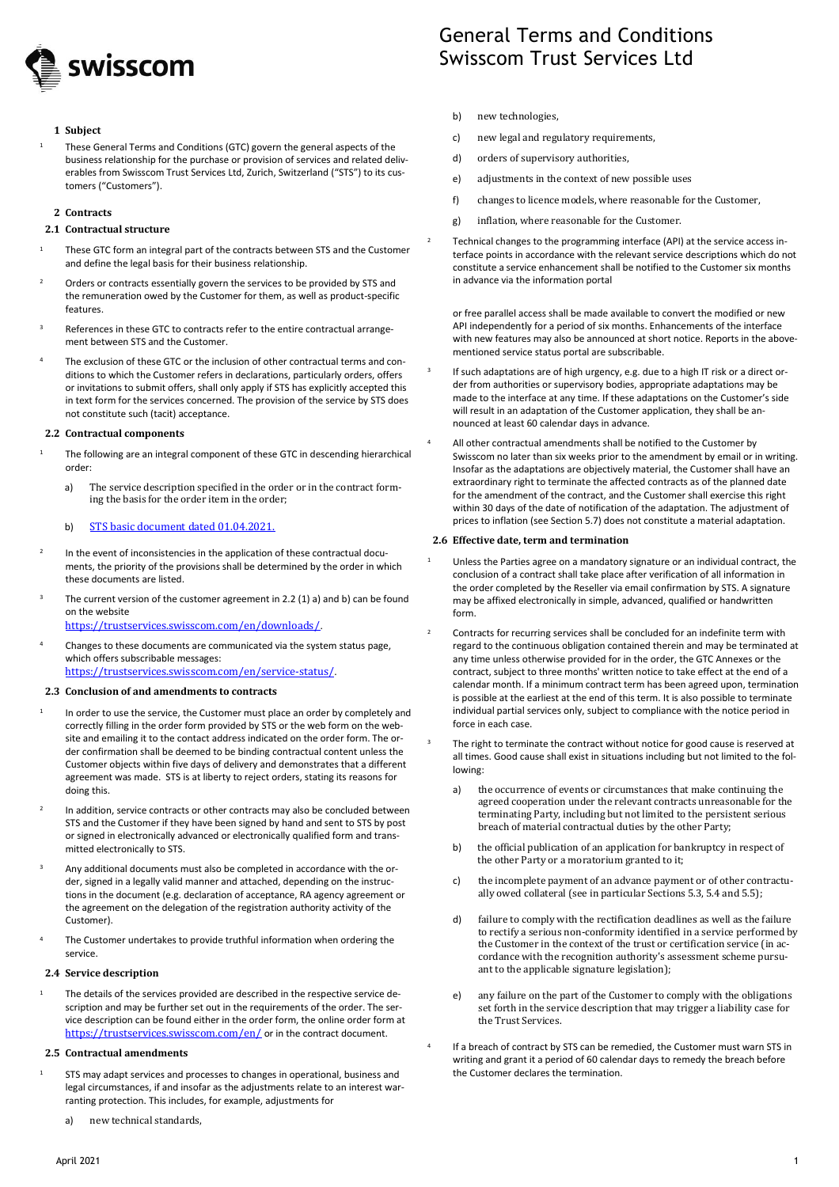

## **1 Subject**

<sup>1</sup> These General Terms and Conditions (GTC) govern the general aspects of the business relationship for the purchase or provision of services and related deliverables from Swisscom Trust Services Ltd, Zurich, Switzerland ("STS") to its customers ("Customers").

## **2 Contracts**

## **2.1 Contractual structure**

- <sup>1</sup> These GTC form an integral part of the contracts between STS and the Customer and define the legal basis for their business relationship.
- <sup>2</sup> Orders or contracts essentially govern the services to be provided by STS and the remuneration owed by the Customer for them, as well as product-specific features.
- References in these GTC to contracts refer to the entire contractual arrangement between STS and the Customer.
- The exclusion of these GTC or the inclusion of other contractual terms and conditions to which the Customer refers in declarations, particularly orders, offers or invitations to submit offers, shall only apply if STS has explicitly accepted this in text form for the services concerned. The provision of the service by STS does not constitute such (tacit) acceptance.

#### **2.2 Contractual components**

- <sup>1</sup> The following are an integral component of these GTC in descending hierarchical order:
	- a) The service description specified in the order or in the contract forming the basis for the order item in the order;

### b) STS basic document dated 01.04.2021.

- 2 In the event of inconsistencies in the application of these contractual documents, the priority of the provisions shall be determined by the order in which these documents are listed.
- The current version of the customer agreement in 2.2 (1) a) and b) can be found on the website

<https://trustservices.swisscom.com/en/downloads/>.

<sup>4</sup> Changes to these documents are communicated via the system status page, which offers subscribable messages: <https://trustservices.swisscom.com/en/service-status/>.

#### **2.3 Conclusion of and amendments to contracts**

- 1 In order to use the service, the Customer must place an order by completely and correctly filling in the order form provided by STS or the web form on the website and emailing it to the contact address indicated on the order form. The order confirmation shall be deemed to be binding contractual content unless the Customer objects within five days of delivery and demonstrates that a different agreement was made. STS is at liberty to reject orders, stating its reasons for doing this.
- 2 In addition, service contracts or other contracts may also be concluded between STS and the Customer if they have been signed by hand and sent to STS by post or signed in electronically advanced or electronically qualified form and transmitted electronically to STS.
- Any additional documents must also be completed in accordance with the order, signed in a legally valid manner and attached, depending on the instructions in the document (e.g. declaration of acceptance, RA agency agreement or the agreement on the delegation of the registration authority activity of the Customer).
- The Customer undertakes to provide truthful information when ordering the service.

#### **2.4 Service description**

The details of the services provided are described in the respective service description and may be further set out in the requirements of the order. The service description can be found either in the order form, the online order form at <https://trustservices.swisscom.com/en/> or in the contract document.

## **2.5 Contractual amendments**

- STS may adapt services and processes to changes in operational, business and legal circumstances, if and insofar as the adjustments relate to an interest warranting protection. This includes, for example, adjustments for
	- a) new technical standards,

## General Terms and Conditions Swisscom Trust Services Ltd

- b) new technologies,
- c) new legal and regulatory requirements,
- d) orders of supervisory authorities,
- e) adjustments in the context of new possible uses
- f) changes to licence models, where reasonable for the Customer,
- g) inflation, where reasonable for the Customer.
- <sup>2</sup> Technical changes to the programming interface (API) at the service access interface points in accordance with the relevant service descriptions which do not constitute a service enhancement shall be notified to the Customer six months in advance via the information portal

or free parallel access shall be made available to convert the modified or new API independently for a period of six months. Enhancements of the interface with new features may also be announced at short notice. Reports in the abovementioned service status portal are subscribable.

- 3 If such adaptations are of high urgency, e.g. due to a high IT risk or a direct order from authorities or supervisory bodies, appropriate adaptations may be made to the interface at any time. If these adaptations on the Customer's side will result in an adaptation of the Customer application, they shall be announced at least 60 calendar days in advance.
- All other contractual amendments shall be notified to the Customer by Swisscom no later than six weeks prior to the amendment by email or in writing. Insofar as the adaptations are objectively material, the Customer shall have an extraordinary right to terminate the affected contracts as of the planned date for the amendment of the contract, and the Customer shall exercise this right within 30 days of the date of notification of the adaptation. The adjustment of prices to inflation (see Section 5.7) does not constitute a material adaptation.

### **2.6 Effective date, term and termination**

- Unless the Parties agree on a mandatory signature or an individual contract, the conclusion of a contract shall take place after verification of all information in the order completed by the Reseller via email confirmation by STS. A signature may be affixed electronically in simple, advanced, qualified or handwritten form.
- <sup>2</sup> Contracts for recurring services shall be concluded for an indefinite term with regard to the continuous obligation contained therein and may be terminated at any time unless otherwise provided for in the order, the GTC Annexes or the contract, subject to three months' written notice to take effect at the end of a calendar month. If a minimum contract term has been agreed upon, termination is possible at the earliest at the end of this term. It is also possible to terminate individual partial services only, subject to compliance with the notice period in force in each case.
- The right to terminate the contract without notice for good cause is reserved at all times. Good cause shall exist in situations including but not limited to the following:
	- a) the occurrence of events or circumstances that make continuing the agreed cooperation under the relevant contracts unreasonable for the terminating Party, including but not limited to the persistent serious breach of material contractual duties by the other Party;
	- b) the official publication of an application for bankruptcy in respect of the other Party or a moratorium granted to it;
	- c) the incomplete payment of an advance payment or of other contractually owed collateral (see in particular Sections 5.3, 5.4 and 5.5);
	- d) failure to comply with the rectification deadlines as well as the failure to rectify a serious non-conformity identified in a service performed by the Customer in the context of the trust or certification service (in accordance with the recognition authority's assessment scheme pursuant to the applicable signature legislation);
	- e) any failure on the part of the Customer to comply with the obligations set forth in the service description that may trigger a liability case for the Trust Services.
- 4 If a breach of contract by STS can be remedied, the Customer must warn STS in writing and grant it a period of 60 calendar days to remedy the breach before the Customer declares the termination.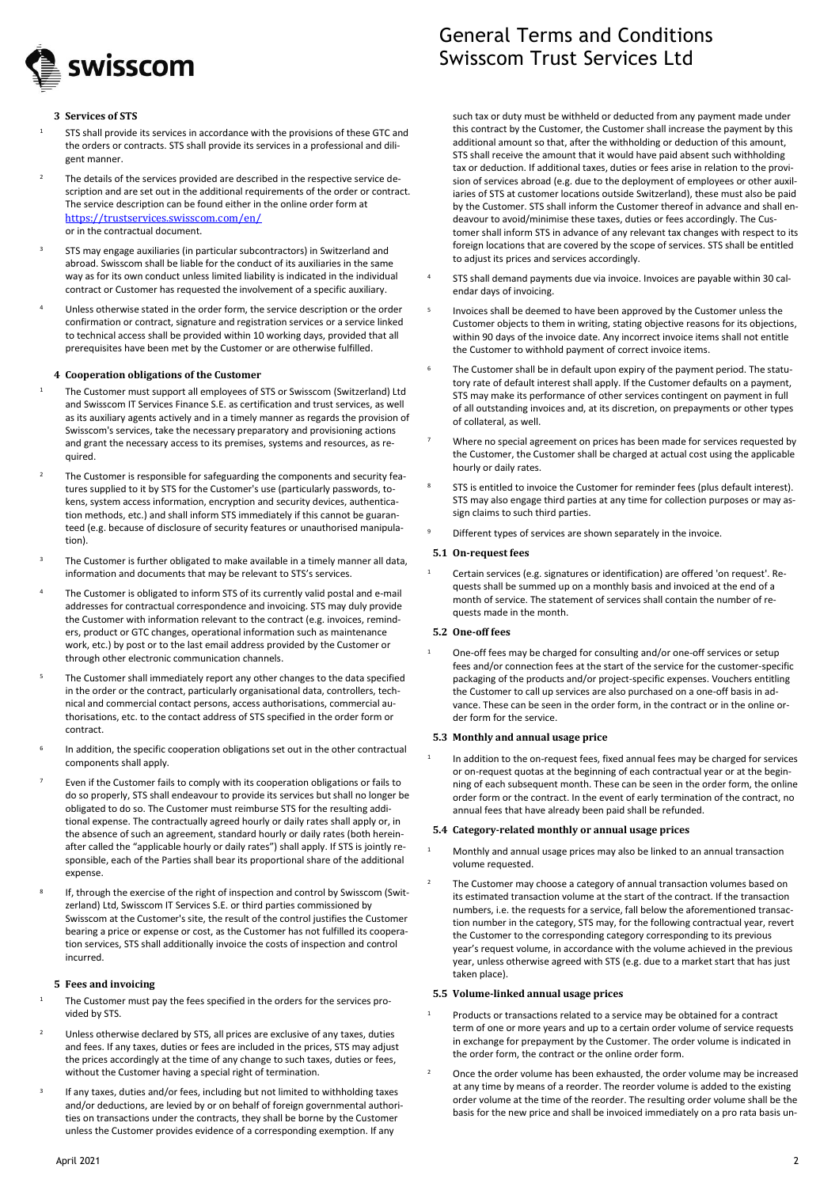

#### **3 Services of STS**

- STS shall provide its services in accordance with the provisions of these GTC and the orders or contracts. STS shall provide its services in a professional and diligent manner.
- <sup>2</sup> The details of the services provided are described in the respective service description and are set out in the additional requirements of the order or contract. The service description can be found either in the online order form at <https://trustservices.swisscom.com/en/> or in the contractual document.
- <sup>3</sup> STS may engage auxiliaries (in particular subcontractors) in Switzerland and abroad. Swisscom shall be liable for the conduct of its auxiliaries in the same way as for its own conduct unless limited liability is indicated in the individual contract or Customer has requested the involvement of a specific auxiliary.
- <sup>4</sup> Unless otherwise stated in the order form, the service description or the order confirmation or contract, signature and registration services or a service linked to technical access shall be provided within 10 working days, provided that all prerequisites have been met by the Customer or are otherwise fulfilled.

#### **4 Cooperation obligations of the Customer**

- <sup>1</sup> The Customer must support all employees of STS or Swisscom (Switzerland) Ltd and Swisscom IT Services Finance S.E. as certification and trust services, as well as its auxiliary agents actively and in a timely manner as regards the provision of Swisscom's services, take the necessary preparatory and provisioning actions and grant the necessary access to its premises, systems and resources, as required.
- The Customer is responsible for safeguarding the components and security features supplied to it by STS for the Customer's use (particularly passwords, tokens, system access information, encryption and security devices, authentication methods, etc.) and shall inform STS immediately if this cannot be guaranteed (e.g. because of disclosure of security features or unauthorised manipulation).
- The Customer is further obligated to make available in a timely manner all data, information and documents that may be relevant to STS's services.
- The Customer is obligated to inform STS of its currently valid postal and e-mail addresses for contractual correspondence and invoicing. STS may duly provide the Customer with information relevant to the contract (e.g. invoices, reminders, product or GTC changes, operational information such as maintenance work, etc.) by post or to the last email address provided by the Customer or through other electronic communication channels.
- The Customer shall immediately report any other changes to the data specified in the order or the contract, particularly organisational data, controllers, technical and commercial contact persons, access authorisations, commercial authorisations, etc. to the contact address of STS specified in the order form or contract.
- 6 In addition, the specific cooperation obligations set out in the other contractual components shall apply.
- Even if the Customer fails to comply with its cooperation obligations or fails to do so properly, STS shall endeavour to provide its services but shall no longer be obligated to do so. The Customer must reimburse STS for the resulting additional expense. The contractually agreed hourly or daily rates shall apply or, in the absence of such an agreement, standard hourly or daily rates (both hereinafter called the "applicable hourly or daily rates") shall apply. If STS is jointly responsible, each of the Parties shall bear its proportional share of the additional expense.
- 8 If, through the exercise of the right of inspection and control by Swisscom (Switzerland) Ltd, Swisscom IT Services S.E. or third parties commissioned by Swisscom at the Customer's site, the result of the control justifies the Customer bearing a price or expense or cost, as the Customer has not fulfilled its cooperation services, STS shall additionally invoice the costs of inspection and control incurred.

## **5 Fees and invoicing**

- <sup>1</sup> The Customer must pay the fees specified in the orders for the services provided by STS.
- Unless otherwise declared by STS, all prices are exclusive of any taxes, duties and fees. If any taxes, duties or fees are included in the prices, STS may adjust the prices accordingly at the time of any change to such taxes, duties or fees, without the Customer having a special right of termination.
- 3 If any taxes, duties and/or fees, including but not limited to withholding taxes and/or deductions, are levied by or on behalf of foreign governmental authorities on transactions under the contracts, they shall be borne by the Customer unless the Customer provides evidence of a corresponding exemption. If any

# General Terms and Conditions Swisscom Trust Services Ltd

such tax or duty must be withheld or deducted from any payment made under this contract by the Customer, the Customer shall increase the payment by this additional amount so that, after the withholding or deduction of this amount, STS shall receive the amount that it would have paid absent such withholding tax or deduction. If additional taxes, duties or fees arise in relation to the provision of services abroad (e.g. due to the deployment of employees or other auxiliaries of STS at customer locations outside Switzerland), these must also be paid by the Customer. STS shall inform the Customer thereof in advance and shall endeavour to avoid/minimise these taxes, duties or fees accordingly. The Customer shall inform STS in advance of any relevant tax changes with respect to its foreign locations that are covered by the scope of services. STS shall be entitled to adjust its prices and services accordingly.

- <sup>4</sup> STS shall demand payments due via invoice. Invoices are payable within 30 calendar days of invoicing.
- 5 Invoices shall be deemed to have been approved by the Customer unless the Customer objects to them in writing, stating objective reasons for its objections, within 90 days of the invoice date. Any incorrect invoice items shall not entitle the Customer to withhold payment of correct invoice items.
- The Customer shall be in default upon expiry of the payment period. The statutory rate of default interest shall apply. If the Customer defaults on a payment, STS may make its performance of other services contingent on payment in full of all outstanding invoices and, at its discretion, on prepayments or other types of collateral, as well.
- Where no special agreement on prices has been made for services requested by the Customer, the Customer shall be charged at actual cost using the applicable hourly or daily rates.
- STS is entitled to invoice the Customer for reminder fees (plus default interest). STS may also engage third parties at any time for collection purposes or may assign claims to such third parties.
- Different types of services are shown separately in the invoice.

### **5.1 On-request fees**

<sup>1</sup> Certain services (e.g. signatures or identification) are offered 'on request'. Requests shall be summed up on a monthly basis and invoiced at the end of a month of service. The statement of services shall contain the number of requests made in the month.

#### **5.2 One-off fees**

1

One-off fees may be charged for consulting and/or one-off services or setup fees and/or connection fees at the start of the service for the customer-specific packaging of the products and/or project-specific expenses. Vouchers entitling the Customer to call up services are also purchased on a one-off basis in advance. These can be seen in the order form, in the contract or in the online order form for the service.

#### **5.3 Monthly and annual usage price**

In addition to the on-request fees, fixed annual fees may be charged for services or on-request quotas at the beginning of each contractual year or at the beginning of each subsequent month. These can be seen in the order form, the online order form or the contract. In the event of early termination of the contract, no annual fees that have already been paid shall be refunded.

## **5.4 Category-related monthly or annual usage prices**

- <sup>1</sup> Monthly and annual usage prices may also be linked to an annual transaction volume requested.
- The Customer may choose a category of annual transaction volumes based on its estimated transaction volume at the start of the contract. If the transaction numbers, i.e. the requests for a service, fall below the aforementioned transaction number in the category, STS may, for the following contractual year, revert the Customer to the corresponding category corresponding to its previous year's request volume, in accordance with the volume achieved in the previous year, unless otherwise agreed with STS (e.g. due to a market start that has just taken place).

## **5.5 Volume-linked annual usage prices**

- Products or transactions related to a service may be obtained for a contract term of one or more years and up to a certain order volume of service requests in exchange for prepayment by the Customer. The order volume is indicated in the order form, the contract or the online order form.
- <sup>2</sup> Once the order volume has been exhausted, the order volume may be increased at any time by means of a reorder. The reorder volume is added to the existing order volume at the time of the reorder. The resulting order volume shall be the basis for the new price and shall be invoiced immediately on a pro rata basis un-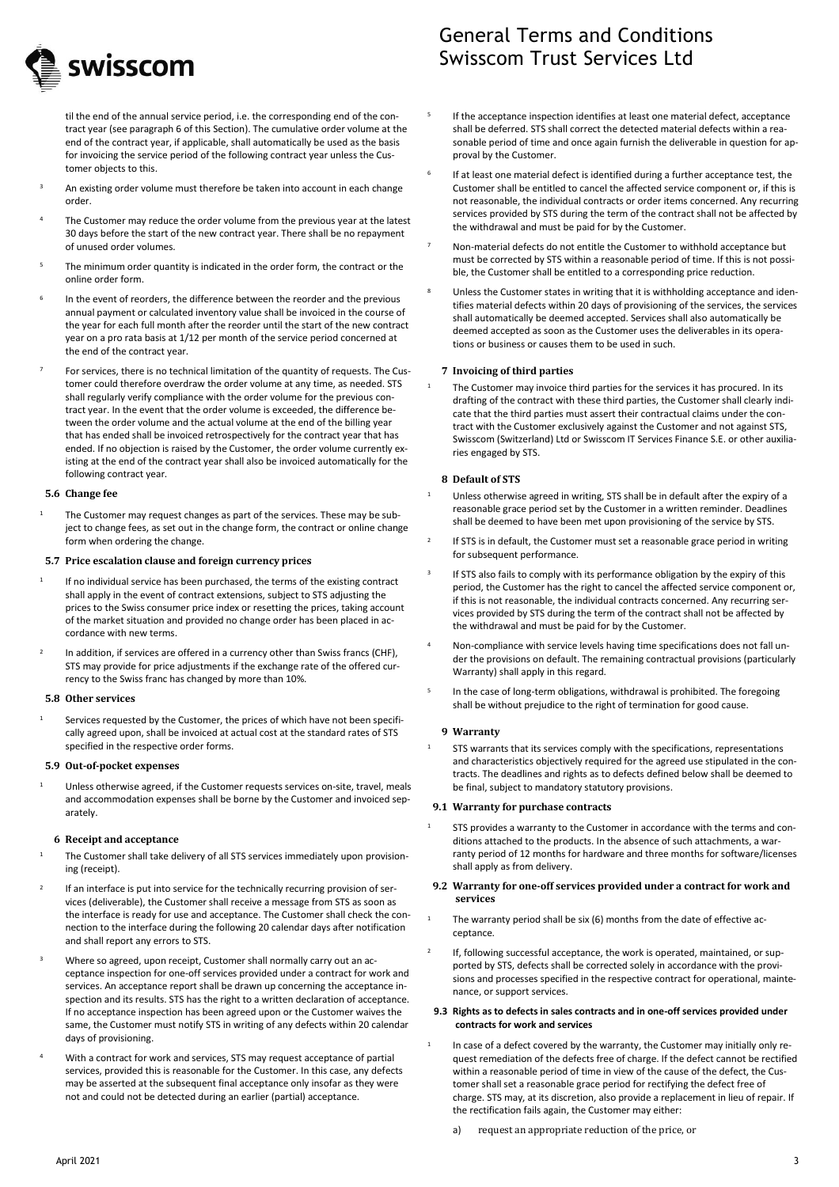

til the end of the annual service period, i.e. the corresponding end of the contract year (see paragraph 6 of this Section). The cumulative order volume at the end of the contract year, if applicable, shall automatically be used as the basis for invoicing the service period of the following contract year unless the Customer objects to this.

- An existing order volume must therefore be taken into account in each change order.
- The Customer may reduce the order volume from the previous year at the latest 30 days before the start of the new contract year. There shall be no repayment of unused order volumes.
- The minimum order quantity is indicated in the order form, the contract or the online order form.
- 6 In the event of reorders, the difference between the reorder and the previous annual payment or calculated inventory value shall be invoiced in the course of the year for each full month after the reorder until the start of the new contract year on a pro rata basis at 1/12 per month of the service period concerned at the end of the contract year.
- For services, there is no technical limitation of the quantity of requests. The Customer could therefore overdraw the order volume at any time, as needed. STS shall regularly verify compliance with the order volume for the previous contract year. In the event that the order volume is exceeded, the difference between the order volume and the actual volume at the end of the billing year that has ended shall be invoiced retrospectively for the contract year that has ended. If no objection is raised by the Customer, the order volume currently existing at the end of the contract year shall also be invoiced automatically for the following contract year.

#### **5.6 Change fee**

The Customer may request changes as part of the services. These may be subject to change fees, as set out in the change form, the contract or online change form when ordering the change.

## **5.7 Price escalation clause and foreign currency prices**

- 1 If no individual service has been purchased, the terms of the existing contract shall apply in the event of contract extensions, subject to STS adjusting the prices to the Swiss consumer price index or resetting the prices, taking account of the market situation and provided no change order has been placed in accordance with new terms.
- 2 In addition, if services are offered in a currency other than Swiss francs (CHF), STS may provide for price adjustments if the exchange rate of the offered currency to the Swiss franc has changed by more than 10%.

## **5.8 Other services**

Services requested by the Customer, the prices of which have not been specifically agreed upon, shall be invoiced at actual cost at the standard rates of STS specified in the respective order forms.

#### **5.9 Out-of-pocket expenses**

<sup>1</sup> Unless otherwise agreed, if the Customer requests services on-site, travel, meals and accommodation expenses shall be borne by the Customer and invoiced separately.

## **6 Receipt and acceptance**

- The Customer shall take delivery of all STS services immediately upon provisioning (receipt).
- 2 If an interface is put into service for the technically recurring provision of services (deliverable), the Customer shall receive a message from STS as soon as the interface is ready for use and acceptance. The Customer shall check the connection to the interface during the following 20 calendar days after notification and shall report any errors to STS.
- Where so agreed, upon receipt, Customer shall normally carry out an acceptance inspection for one-off services provided under a contract for work and services. An acceptance report shall be drawn up concerning the acceptance inspection and its results. STS has the right to a written declaration of acceptance. If no acceptance inspection has been agreed upon or the Customer waives the same, the Customer must notify STS in writing of any defects within 20 calendar days of provisioning.
- With a contract for work and services, STS may request acceptance of partial services, provided this is reasonable for the Customer. In this case, any defects may be asserted at the subsequent final acceptance only insofar as they were not and could not be detected during an earlier (partial) acceptance.

## General Terms and Conditions Swisscom Trust Services Ltd

- 5 If the acceptance inspection identifies at least one material defect, acceptance shall be deferred. STS shall correct the detected material defects within a reasonable period of time and once again furnish the deliverable in question for approval by the Customer.
- 6 If at least one material defect is identified during a further acceptance test, the Customer shall be entitled to cancel the affected service component or, if this is not reasonable, the individual contracts or order items concerned. Any recurring services provided by STS during the term of the contract shall not be affected by the withdrawal and must be paid for by the Customer.
- Non-material defects do not entitle the Customer to withhold acceptance but must be corrected by STS within a reasonable period of time. If this is not possible, the Customer shall be entitled to a corresponding price reduction.
- Unless the Customer states in writing that it is withholding acceptance and identifies material defects within 20 days of provisioning of the services, the services shall automatically be deemed accepted. Services shall also automatically be deemed accepted as soon as the Customer uses the deliverables in its operations or business or causes them to be used in such.

### **7 Invoicing of third parties**

The Customer may invoice third parties for the services it has procured. In its drafting of the contract with these third parties, the Customer shall clearly indicate that the third parties must assert their contractual claims under the contract with the Customer exclusively against the Customer and not against STS, Swisscom (Switzerland) Ltd or Swisscom IT Services Finance S.E. or other auxiliaries engaged by STS.

### **8 Default of STS**

- Unless otherwise agreed in writing, STS shall be in default after the expiry of a reasonable grace period set by the Customer in a written reminder. Deadlines shall be deemed to have been met upon provisioning of the service by STS.
- 2 If STS is in default, the Customer must set a reasonable grace period in writing for subsequent performance.
- 3 If STS also fails to comply with its performance obligation by the expiry of this period, the Customer has the right to cancel the affected service component or, if this is not reasonable, the individual contracts concerned. Any recurring services provided by STS during the term of the contract shall not be affected by the withdrawal and must be paid for by the Customer.
- <sup>4</sup> Non-compliance with service levels having time specifications does not fall under the provisions on default. The remaining contractual provisions (particularly Warranty) shall apply in this regard.
- 5 In the case of long-term obligations, withdrawal is prohibited. The foregoing shall be without prejudice to the right of termination for good cause.

## **9 Warranty**

STS warrants that its services comply with the specifications, representations and characteristics objectively required for the agreed use stipulated in the contracts. The deadlines and rights as to defects defined below shall be deemed to be final, subject to mandatory statutory provisions.

## **9.1 Warranty for purchase contracts**

STS provides a warranty to the Customer in accordance with the terms and conditions attached to the products. In the absence of such attachments, a warranty period of 12 months for hardware and three months for software/licenses shall apply as from delivery.

#### **9.2 Warranty for one-off services provided under a contract for work and services**

- The warranty period shall be six (6) months from the date of effective acceptance.
- 2 If, following successful acceptance, the work is operated, maintained, or supported by STS, defects shall be corrected solely in accordance with the provisions and processes specified in the respective contract for operational, maintenance, or support services.

#### **9.3 Rights as to defects in sales contracts and in one-off services provided under contracts for work and services**

- 1 In case of a defect covered by the warranty, the Customer may initially only request remediation of the defects free of charge. If the defect cannot be rectified within a reasonable period of time in view of the cause of the defect, the Customer shall set a reasonable grace period for rectifying the defect free of charge. STS may, at its discretion, also provide a replacement in lieu of repair. If the rectification fails again, the Customer may either:
	- request an appropriate reduction of the price, or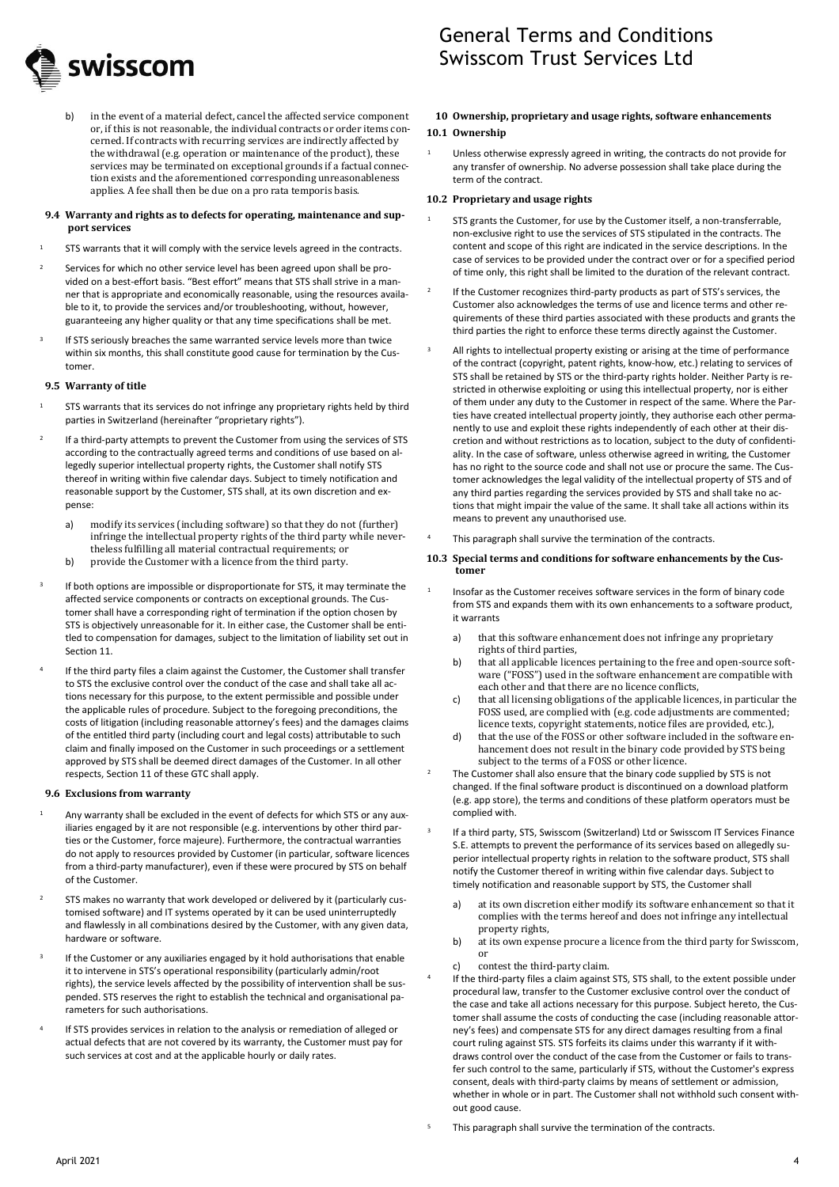

- General Terms and Conditions Swisscom Trust Services Ltd
- b) in the event of a material defect, cancel the affected service component or, if this is not reasonable, the individual contracts or order items concerned. If contracts with recurring services are indirectly affected by the withdrawal (e.g. operation or maintenance of the product), these services may be terminated on exceptional grounds if a factual connection exists and the aforementioned corresponding unreasonableness applies. A fee shall then be due on a pro rata temporis basis.

#### **9.4 Warranty and rights as to defects for operating, maintenance and support services**

- <sup>1</sup> STS warrants that it will comply with the service levels agreed in the contracts.
- <sup>2</sup> Services for which no other service level has been agreed upon shall be provided on a best-effort basis. "Best effort" means that STS shall strive in a manner that is appropriate and economically reasonable, using the resources available to it, to provide the services and/or troubleshooting, without, however, guaranteeing any higher quality or that any time specifications shall be met.
- 3 If STS seriously breaches the same warranted service levels more than twice within six months, this shall constitute good cause for termination by the Customer.

#### **9.5 Warranty of title**

- <sup>1</sup> STS warrants that its services do not infringe any proprietary rights held by third parties in Switzerland (hereinafter "proprietary rights").
- 2 If a third-party attempts to prevent the Customer from using the services of STS according to the contractually agreed terms and conditions of use based on allegedly superior intellectual property rights, the Customer shall notify STS thereof in writing within five calendar days. Subject to timely notification and reasonable support by the Customer, STS shall, at its own discretion and expense:
	- a) modify its services (including software) so that they do not (further) infringe the intellectual property rights of the third party while nevertheless fulfilling all material contractual requirements; or
	- b) provide the Customer with a licence from the third party.
- 3 If both options are impossible or disproportionate for STS, it may terminate the affected service components or contracts on exceptional grounds. The Customer shall have a corresponding right of termination if the option chosen by STS is objectively unreasonable for it. In either case, the Customer shall be entitled to compensation for damages, subject to the limitation of liability set out in Section 11.
- 4 If the third party files a claim against the Customer, the Customer shall transfer to STS the exclusive control over the conduct of the case and shall take all actions necessary for this purpose, to the extent permissible and possible under the applicable rules of procedure. Subject to the foregoing preconditions, the costs of litigation (including reasonable attorney's fees) and the damages claims of the entitled third party (including court and legal costs) attributable to such claim and finally imposed on the Customer in such proceedings or a settlement approved by STS shall be deemed direct damages of the Customer. In all other respects, Section 11 of these GTC shall apply.

#### **9.6 Exclusions from warranty**

- Any warranty shall be excluded in the event of defects for which STS or any auxiliaries engaged by it are not responsible (e.g. interventions by other third parties or the Customer, force majeure). Furthermore, the contractual warranties do not apply to resources provided by Customer (in particular, software licences from a third-party manufacturer), even if these were procured by STS on behalf of the Customer.
- <sup>2</sup> STS makes no warranty that work developed or delivered by it (particularly customised software) and IT systems operated by it can be used uninterruptedly and flawlessly in all combinations desired by the Customer, with any given data, hardware or software.
- 3 If the Customer or any auxiliaries engaged by it hold authorisations that enable it to intervene in STS's operational responsibility (particularly admin/root rights), the service levels affected by the possibility of intervention shall be suspended. STS reserves the right to establish the technical and organisational parameters for such authorisations.
- 4 If STS provides services in relation to the analysis or remediation of alleged or actual defects that are not covered by its warranty, the Customer must pay for such services at cost and at the applicable hourly or daily rates.

#### **10 Ownership, proprietary and usage rights, software enhancements**

#### **10.1 Ownership**

1

3

4

Unless otherwise expressly agreed in writing, the contracts do not provide for any transfer of ownership. No adverse possession shall take place during the term of the contract.

#### **10.2 Proprietary and usage rights**

- STS grants the Customer, for use by the Customer itself, a non-transferrable, non-exclusive right to use the services of STS stipulated in the contracts. The content and scope of this right are indicated in the service descriptions. In the case of services to be provided under the contract over or for a specified period of time only, this right shall be limited to the duration of the relevant contract.
- 2 If the Customer recognizes third-party products as part of STS's services, the Customer also acknowledges the terms of use and licence terms and other requirements of these third parties associated with these products and grants the third parties the right to enforce these terms directly against the Customer.
- All rights to intellectual property existing or arising at the time of performance of the contract (copyright, patent rights, know-how, etc.) relating to services of STS shall be retained by STS or the third-party rights holder. Neither Party is restricted in otherwise exploiting or using this intellectual property, nor is either of them under any duty to the Customer in respect of the same. Where the Parties have created intellectual property jointly, they authorise each other permanently to use and exploit these rights independently of each other at their discretion and without restrictions as to location, subject to the duty of confidentiality. In the case of software, unless otherwise agreed in writing, the Customer has no right to the source code and shall not use or procure the same. The Customer acknowledges the legal validity of the intellectual property of STS and of any third parties regarding the services provided by STS and shall take no actions that might impair the value of the same. It shall take all actions within its means to prevent any unauthorised use.
- This paragraph shall survive the termination of the contracts.

#### **10.3 Special terms and conditions for software enhancements by the Customer**

- Insofar as the Customer receives software services in the form of binary code from STS and expands them with its own enhancements to a software product, it warrants
	- a) that this software enhancement does not infringe any proprietary rights of third parties,
	- b) that all applicable licences pertaining to the free and open-source software ("FOSS") used in the software enhancement are compatible with each other and that there are no licence conflicts,
	- c) that all licensing obligations of the applicable licences, in particular the FOSS used, are complied with (e.g. code adjustments are commented; licence texts, copyright statements, notice files are provided, etc.),
	- d) that the use of the FOSS or other software included in the software enhancement does not result in the binary code provided by STS being subject to the terms of a FOSS or other licence.
- The Customer shall also ensure that the binary code supplied by STS is not changed. If the final software product is discontinued on a download platform (e.g. app store), the terms and conditions of these platform operators must be complied with.
- If a third party, STS, Swisscom (Switzerland) Ltd or Swisscom IT Services Finance S.E. attempts to prevent the performance of its services based on allegedly superior intellectual property rights in relation to the software product, STS shall notify the Customer thereof in writing within five calendar days. Subject to timely notification and reasonable support by STS, the Customer shall
	- a) at its own discretion either modify its software enhancement so that it complies with the terms hereof and does not infringe any intellectual property rights,
	- b) at its own expense procure a licence from the third party for Swisscom, or
	- c) contest the third-party claim.
	- If the third-party files a claim against STS, STS shall, to the extent possible under procedural law, transfer to the Customer exclusive control over the conduct of the case and take all actions necessary for this purpose. Subject hereto, the Customer shall assume the costs of conducting the case (including reasonable attorney's fees) and compensate STS for any direct damages resulting from a final court ruling against STS. STS forfeits its claims under this warranty if it withdraws control over the conduct of the case from the Customer or fails to transfer such control to the same, particularly if STS, without the Customer's express consent, deals with third-party claims by means of settlement or admission, whether in whole or in part. The Customer shall not withhold such consent without good cause.
- This paragraph shall survive the termination of the contracts.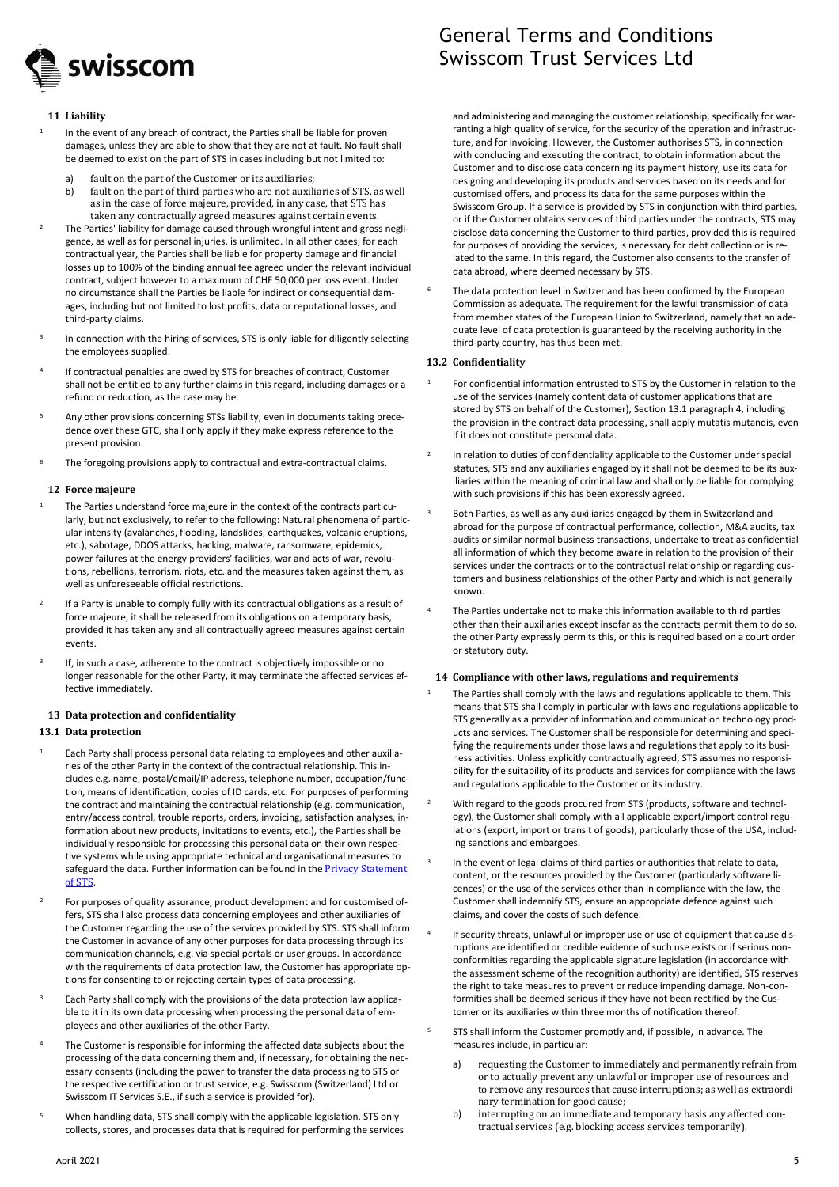

#### **11 Liability**

1

- In the event of any breach of contract, the Parties shall be liable for proven damages, unless they are able to show that they are not at fault. No fault shall be deemed to exist on the part of STS in cases including but not limited to:
	- a) fault on the part of the Customer or its auxiliaries;
	- b) fault on the part of third parties who are not auxiliaries of STS, as well as in the case of force majeure, provided, in any case, that STS has taken any contractually agreed measures against certain events.
- <sup>2</sup> The Parties' liability for damage caused through wrongful intent and gross negligence, as well as for personal injuries, is unlimited. In all other cases, for each contractual year, the Parties shall be liable for property damage and financial losses up to 100% of the binding annual fee agreed under the relevant individual contract, subject however to a maximum of CHF 50,000 per loss event. Under no circumstance shall the Parties be liable for indirect or consequential damages, including but not limited to lost profits, data or reputational losses, and third-party claims.
- 3 In connection with the hiring of services, STS is only liable for diligently selecting the employees supplied.
- 4 If contractual penalties are owed by STS for breaches of contract, Customer shall not be entitled to any further claims in this regard, including damages or a refund or reduction, as the case may be.
- Any other provisions concerning STSs liability, even in documents taking precedence over these GTC, shall only apply if they make express reference to the present provision.
- The foregoing provisions apply to contractual and extra-contractual claims.

#### **12 Force majeure**

- The Parties understand force majeure in the context of the contracts particularly, but not exclusively, to refer to the following: Natural phenomena of particular intensity (avalanches, flooding, landslides, earthquakes, volcanic eruptions, etc.), sabotage, DDOS attacks, hacking, malware, ransomware, epidemics, power failures at the energy providers' facilities, war and acts of war, revolutions, rebellions, terrorism, riots, etc. and the measures taken against them, as well as unforeseeable official restrictions.
- 2 If a Party is unable to comply fully with its contractual obligations as a result of force majeure, it shall be released from its obligations on a temporary basis, provided it has taken any and all contractually agreed measures against certain events.
- 3 If, in such a case, adherence to the contract is objectively impossible or no longer reasonable for the other Party, it may terminate the affected services effective immediately.

### **13 Data protection and confidentiality**

## <span id="page-4-0"></span>**13.1 Data protection**

- <sup>1</sup> Each Party shall process personal data relating to employees and other auxiliaries of the other Party in the context of the contractual relationship. This includes e.g. name, postal/email/IP address, telephone number, occupation/function, means of identification, copies of ID cards, etc. For purposes of performing the contract and maintaining the contractual relationship (e.g. communication, entry/access control, trouble reports, orders, invoicing, satisfaction analyses, information about new products, invitations to events, etc.), the Parties shall be individually responsible for processing this personal data on their own respective systems while using appropriate technical and organisational measures to safeguard the data. Further information can be found in the **Privacy Statement** [of STS](https://documents.swisscom.com/product/filestore/lib/d72c3108-2b6d-498d-9846-d197543c3117/privacypolicy_sts-en.pdf?idxme=pex-search).
- For purposes of quality assurance, product development and for customised offers, STS shall also process data concerning employees and other auxiliaries of the Customer regarding the use of the services provided by STS. STS shall inform the Customer in advance of any other purposes for data processing through its communication channels, e.g. via special portals or user groups. In accordance with the requirements of data protection law, the Customer has appropriate options for consenting to or rejecting certain types of data processing.
- <sup>3</sup> Each Party shall comply with the provisions of the data protection law applicable to it in its own data processing when processing the personal data of employees and other auxiliaries of the other Party.
- The Customer is responsible for informing the affected data subjects about the processing of the data concerning them and, if necessary, for obtaining the necessary consents (including the power to transfer the data processing to STS or the respective certification or trust service, e.g. Swisscom (Switzerland) Ltd or Swisscom IT Services S.E., if such a service is provided for).
- When handling data, STS shall comply with the applicable legislation. STS only collects, stores, and processes data that is required for performing the services

## General Terms and Conditions Swisscom Trust Services Ltd

and administering and managing the customer relationship, specifically for warranting a high quality of service, for the security of the operation and infrastructure, and for invoicing. However, the Customer authorises STS, in connection with concluding and executing the contract, to obtain information about the Customer and to disclose data concerning its payment history, use its data for designing and developing its products and services based on its needs and for customised offers, and process its data for the same purposes within the Swisscom Group. If a service is provided by STS in conjunction with third parties, or if the Customer obtains services of third parties under the contracts, STS may disclose data concerning the Customer to third parties, provided this is required for purposes of providing the services, is necessary for debt collection or is related to the same. In this regard, the Customer also consents to the transfer of data abroad, where deemed necessary by STS.

The data protection level in Switzerland has been confirmed by the European Commission as adequate. The requirement for the lawful transmission of data from member states of the European Union to Switzerland, namely that an adequate level of data protection is guaranteed by the receiving authority in the third-party country, has thus been met.

## **13.2 Confidentiality**

- For confidential information entrusted to STS by the Customer in relation to the use of the services (namely content data of customer applications that are stored by STS on behalf of the Customer), Sectio[n 13.1](#page-4-0) paragraph 4, including the provision in the contract data processing, shall apply mutatis mutandis, even if it does not constitute personal data.
- 2 In relation to duties of confidentiality applicable to the Customer under special statutes, STS and any auxiliaries engaged by it shall not be deemed to be its auxiliaries within the meaning of criminal law and shall only be liable for complying with such provisions if this has been expressly agreed.
- Both Parties, as well as any auxiliaries engaged by them in Switzerland and abroad for the purpose of contractual performance, collection, M&A audits, tax audits or similar normal business transactions, undertake to treat as confidential all information of which they become aware in relation to the provision of their services under the contracts or to the contractual relationship or regarding customers and business relationships of the other Party and which is not generally known.
- The Parties undertake not to make this information available to third parties other than their auxiliaries except insofar as the contracts permit them to do so, the other Party expressly permits this, or this is required based on a court order or statutory duty.

#### **14 Compliance with other laws, regulations and requirements**

- The Parties shall comply with the laws and regulations applicable to them. This means that STS shall comply in particular with laws and regulations applicable to STS generally as a provider of information and communication technology products and services. The Customer shall be responsible for determining and specifying the requirements under those laws and regulations that apply to its business activities. Unless explicitly contractually agreed, STS assumes no responsibility for the suitability of its products and services for compliance with the laws and regulations applicable to the Customer or its industry.
- With regard to the goods procured from STS (products, software and technology), the Customer shall comply with all applicable export/import control regulations (export, import or transit of goods), particularly those of the USA, including sanctions and embargoes.
- 3 In the event of legal claims of third parties or authorities that relate to data, content, or the resources provided by the Customer (particularly software licences) or the use of the services other than in compliance with the law, the Customer shall indemnify STS, ensure an appropriate defence against such claims, and cover the costs of such defence.
- 4 If security threats, unlawful or improper use or use of equipment that cause disruptions are identified or credible evidence of such use exists or if serious nonconformities regarding the applicable signature legislation (in accordance with the assessment scheme of the recognition authority) are identified, STS reserves the right to take measures to prevent or reduce impending damage. Non-conformities shall be deemed serious if they have not been rectified by the Customer or its auxiliaries within three months of notification thereof.
- <sup>5</sup> STS shall inform the Customer promptly and, if possible, in advance. The measures include, in particular:
	- a) requesting the Customer to immediately and permanently refrain from or to actually prevent any unlawful or improper use of resources and to remove any resources that cause interruptions; as well as extraordinary termination for good cause;
	- b) interrupting on an immediate and temporary basis any affected contractual services (e.g. blocking access services temporarily).